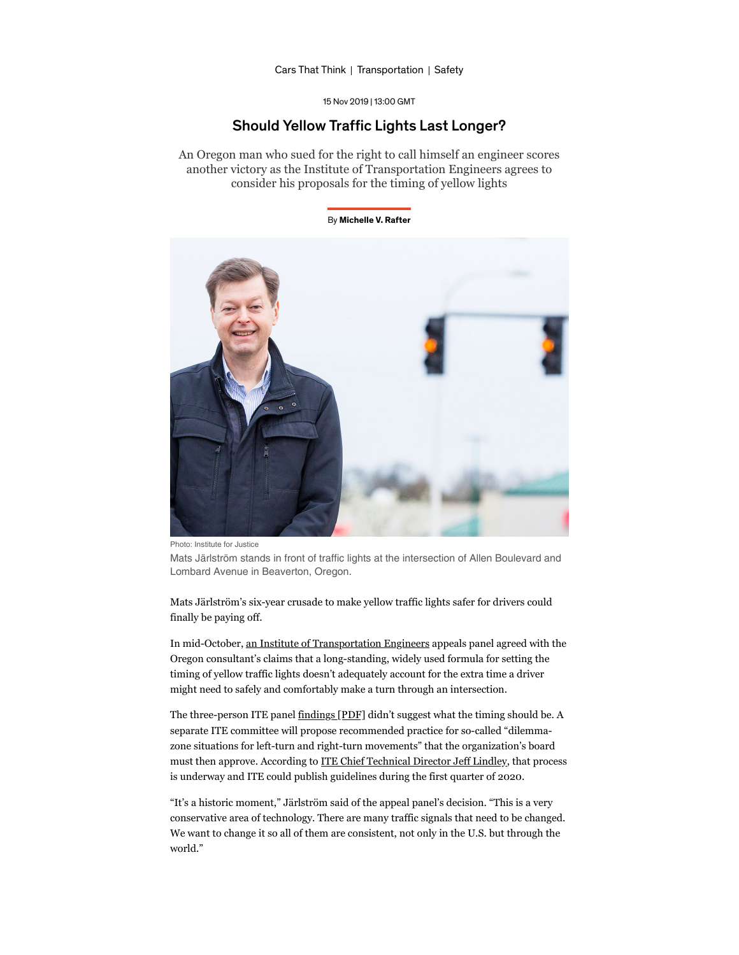[Cars That Think](https://spectrum.ieee.org/blog/cars-that-think) | [Transportation](https://spectrum.ieee.org/transportation) | [Safety](https://spectrum.ieee.org/transportation/safety)

15 Nov 2019 | 13:00 GMT

### Should Yellow Traffic Lights Last Longer?

An Oregon man who sued for the right to call himself an engineer scores another victory as the Institute of Transportation Engineers agrees to consider his proposals for the timing of yellow lights

#### By Michelle V. Rafter



Photo: Institute for Justice

Mats Järlström stands in front of traffic lights at the intersection of Allen Boulevard and Lombard Avenue in Beaverton, Oregon.

Mats Järlström's six-year crusade to make yellow traffic lights safer for drivers could finally be paying off.

In mid-October, an Institute of Transportation Engineers appeals panel agreed with the Oregon consultant's claims that a long-standing, widely used formula for setting the timing of yellow traffic lights doesn't adequately account for the extra time a driver might need to safely and comfortably make a turn through an intersection.

The three-person ITE panel findings [PDF] didn't suggest what the timing should be. A separate ITE committee will propose recommended practice for so-called "dilemmazone situations for left-turn and right-turn movements" that the organization's board must then approve. According to **ITE Chief Technical Director Jeff Lindley**, that process is underway and ITE could publish guidelines during the first quarter of 2020.

"It's a historic moment," Järlström said of the appeal panel's decision. "This is a very conservative area of technology. There are many traffic signals that need to be changed. We want to change it so all of them are consistent, not only in the U.S. but through the world."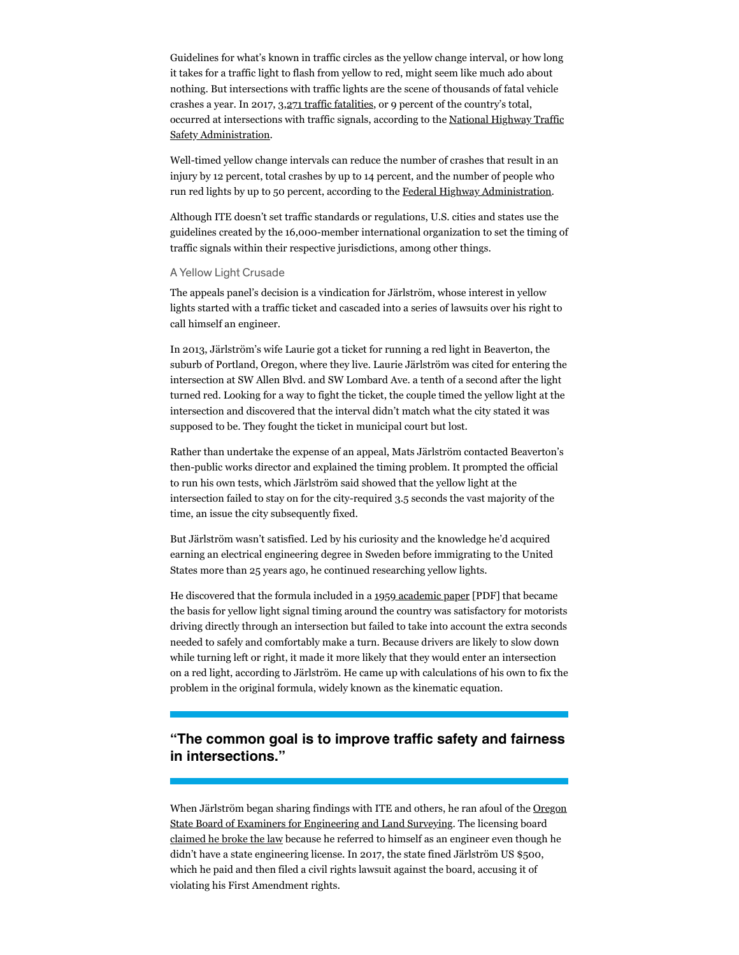Guidelines for what's known in traffic circles as the yellow change interval, or how long it takes for a traffic light to flash from yellow to red, might seem like much ado about nothing. But intersections with traffic lights are the scene of thousands of fatal vehicle crashes a year. In 2017, 3,271 traffic fatalities, or 9 percent of the country's total, occurred at intersections with traffic signals, according to the National Highway Traffic Safety Administration.

Well-timed yellow change intervals can reduce the number of crashes that result in an injury by 12 percent, total crashes by up to 14 percent, and the number of people who run red lights by up to 50 percent, according to the [Federal Highway Administration](https://safety.fhwa.dot.gov/provencountermeasures/yellow_xhg_intervals/).

Although ITE doesn't set traffic standards or regulations, U.S. cities and states use the guidelines created by the 16,000-member international organization to set the timing of traffic signals within their respective jurisdictions, among other things.

### A Yellow Light Crusade

The appeals panel's decision is a vindication for Järlström, whose interest in yellow lights started with a traffic ticket and cascaded into a series of lawsuits over his right to call himself an engineer.

In 2013, Järlström's wife Laurie got a ticket for running a red light in Beaverton, the suburb of Portland, Oregon, where they live. Laurie Järlström was cited for entering the intersection at SW Allen Blvd. and SW Lombard Ave. a tenth of a second after the light turned red. Looking for a way to fight the ticket, the couple timed the yellow light at the intersection and discovered that the interval didn't match what the city stated it was supposed to be. They fought the ticket in municipal court but lost.

Rather than undertake the expense of an appeal, Mats Järlström contacted Beaverton's then-public works director and explained the timing problem. It prompted the official to run his own tests, which Järlström said showed that the yellow light at the intersection failed to stay on for the city-required 3.5 seconds the vast majority of the time, an issue the city subsequently fixed.

But Järlström wasn't satisfied. Led by his curiosity and the knowledge he'd acquired earning an electrical engineering degree in Sweden before immigrating to the United States more than 25 years ago, he continued researching yellow lights.

Hediscovered that the formula included in a 1959 academic paper [PDF] that became the basis for yellow light signal timing around the country was satisfactory for motorists driving directly through an intersection but failed to take into account the extra seconds needed to safely and comfortably make a turn. Because drivers are likely to slow down while turning left or right, it made it more likely that they would enter an intersection on a red light, according to Järlström. He came up with calculations of his own to fix the problem in the original formula, widely known as the kinematic equation.

## **"The common goal is to improve traffic safety and fairness in intersections."**

[When Järlström began sharing findings with ITE and others, he ran afoul of the](https://www.oregon.gov/osbeels/Pages/default.aspx) <u>Oregon</u> State Board of Examiners for Engineering and Land Surveying. The licensing board [claimed he broke the law](https://spectrum.ieee.org/news-from-around-ieee/the-institute/ieee-member-news/does-having-a-license-make-you-an-engineer) because he referred to himself as an engineer even though he didn't have a state engineering license. In 2017, the state fined Järlström US \$500, which he paid and then filed a civil rights lawsuit against the board, accusing it of violating his First Amendment rights.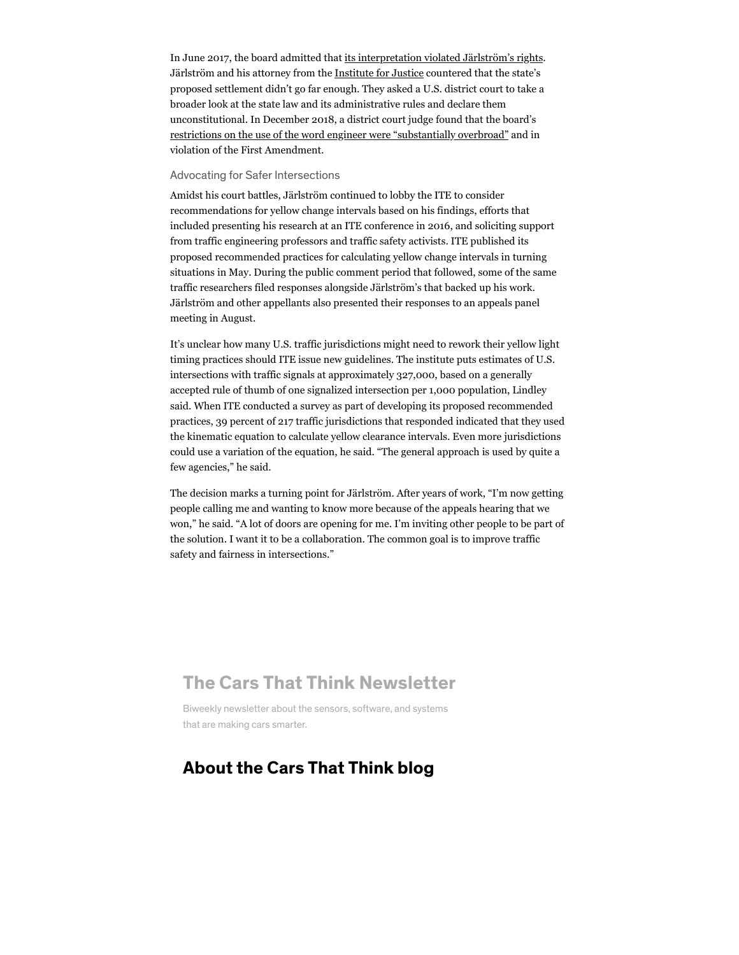In June 2017, the board admitted that its interpretation violated Järlström's rights. Järlströmand his attorney from the Institute for Justice countered that the state's proposed settlement didn't go far enough. They asked a U.S. district court to take a broader look at the state law and its administrative rules and declare them unconstitutional. In December 2018, a district court judge found that the board's [restrictions on the use of the word engineer were "substantially overbroad"](https://spectrum.ieee.org/news-from-around-ieee/the-institute/ieee-member-news/us-judge-rules-mats-jrlstrms-first-amendment-rights-were-infringed) and in violation of the First Amendment.

#### Advocating for Safer Intersections

Amidst his court battles, Järlström continued to lobby the ITE to consider recommendations for yellow change intervals based on his findings, efforts that included presenting his research at an ITE conference in 2016, and soliciting support from traffic engineering professors and traffic safety activists. ITE published its proposed recommended practices for calculating yellow change intervals in turning situations in May. During the public comment period that followed, some of the same traffic researchers filed responses alongside Järlström's that backed up his work. Järlström and other appellants also presented their responses to an appeals panel meeting in August.

It's unclear how many U.S. traffic jurisdictions might need to rework their yellow light timing practices should ITE issue new guidelines. The institute puts estimates of U.S. intersections with traffic signals at approximately 327,000, based on a generally accepted rule of thumb of one signalized intersection per 1,000 population, Lindley said. When ITE conducted a survey as part of developing its proposed recommended practices, 39 percent of 217 traffic jurisdictions that responded indicated that they used the kinematic equation to calculate yellow clearance intervals. Even more jurisdictions could use a variation of the equation, he said. "The general approach is used by quite a few agencies," he said.

The decision marks a turning point for Järlström. After years of work, "I'm now getting people calling me and wanting to know more because of the appeals hearing that we won," he said. "A lot of doors are opening for me. I'm inviting other people to be part of the solution. I want it to be a collaboration. The common goal is to improve traffic safety and fairness in intersections."

# The Cars That Think Newsletter

Biweekly newsletter about the sensors, software, and systems that are making cars smarter.

# About the Cars That Think blog